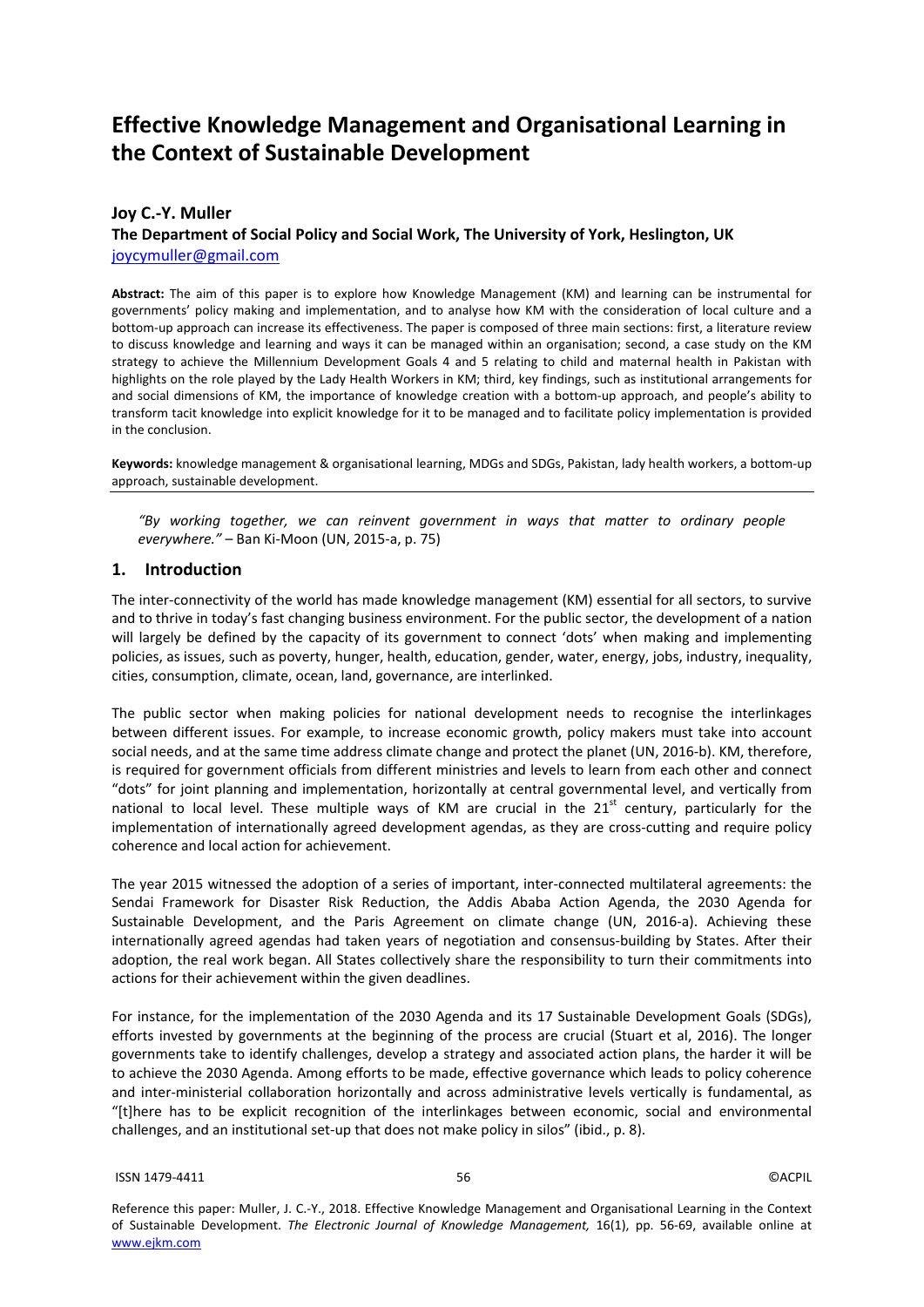# **Effective Knowledge Management and Organisational Learning in the Context of Sustainable Development**

### **Joy C.-Y. Muller**

**The Department of Social Policy and Social Work, The University of York, Heslington, UK**  joycymuller@gmail.com

**Abstract:** The aim of this paper is to explore how Knowledge Management (KM) and learning can be instrumental for governments' policy making and implementation, and to analyse how KM with the consideration of local culture and a bottom-up approach can increase its effectiveness. The paper is composed of three main sections: first, a literature review to discuss knowledge and learning and ways it can be managed within an organisation; second, a case study on the KM strategy to achieve the Millennium Development Goals 4 and 5 relating to child and maternal health in Pakistan with highlights on the role played by the Lady Health Workers in KM; third, key findings, such as institutional arrangements for and social dimensions of KM, the importance of knowledge creation with a bottom-up approach, and people's ability to transform tacit knowledge into explicit knowledge for it to be managed and to facilitate policy implementation is provided in the conclusion.

**Keywords:** knowledge management & organisational learning, MDGs and SDGs, Pakistan, lady health workers, a bottom-up approach, sustainable development.

*"By working together, we can reinvent government in ways that matter to ordinary people everywhere."* – Ban Ki-Moon (UN, 2015-a, p. 75)

#### **1. Introduction**

The inter-connectivity of the world has made knowledge management (KM) essential for all sectors, to survive and to thrive in today's fast changing business environment. For the public sector, the development of a nation will largely be defined by the capacity of its government to connect 'dots' when making and implementing policies, as issues, such as poverty, hunger, health, education, gender, water, energy, jobs, industry, inequality, cities, consumption, climate, ocean, land, governance, are interlinked.

The public sector when making policies for national development needs to recognise the interlinkages between different issues. For example, to increase economic growth, policy makers must take into account social needs, and at the same time address climate change and protect the planet (UN, 2016-b). KM, therefore, is required for government officials from different ministries and levels to learn from each other and connect "dots" for joint planning and implementation, horizontally at central governmental level, and vertically from national to local level. These multiple ways of KM are crucial in the  $21<sup>st</sup>$  century, particularly for the implementation of internationally agreed development agendas, as they are cross-cutting and require policy coherence and local action for achievement.

The year 2015 witnessed the adoption of a series of important, inter-connected multilateral agreements: the Sendai Framework for Disaster Risk Reduction, the Addis Ababa Action Agenda, the 2030 Agenda for Sustainable Development, and the Paris Agreement on climate change (UN, 2016-a). Achieving these internationally agreed agendas had taken years of negotiation and consensus-building by States. After their adoption, the real work began. All States collectively share the responsibility to turn their commitments into actions for their achievement within the given deadlines.

For instance, for the implementation of the 2030 Agenda and its 17 Sustainable Development Goals (SDGs), efforts invested by governments at the beginning of the process are crucial (Stuart et al, 2016). The longer governments take to identify challenges, develop a strategy and associated action plans, the harder it will be to achieve the 2030 Agenda. Among efforts to be made, effective governance which leads to policy coherence and inter-ministerial collaboration horizontally and across administrative levels vertically is fundamental, as "[t]here has to be explicit recognition of the interlinkages between economic, social and environmental challenges, and an institutional set-up that does not make policy in silos" (ibid., p. 8).

#### $15$ SN 1479-4411  $\hskip100pt 0$ ACPIL

Reference this paper: Muller, J. C.-Y., 2018. Effective Knowledge Management and Organisational Learning in the Context of Sustainable Development. *The Electronic Journal of Knowledge Management,* 16(1), pp. 56-69, available online at www.ejkm.com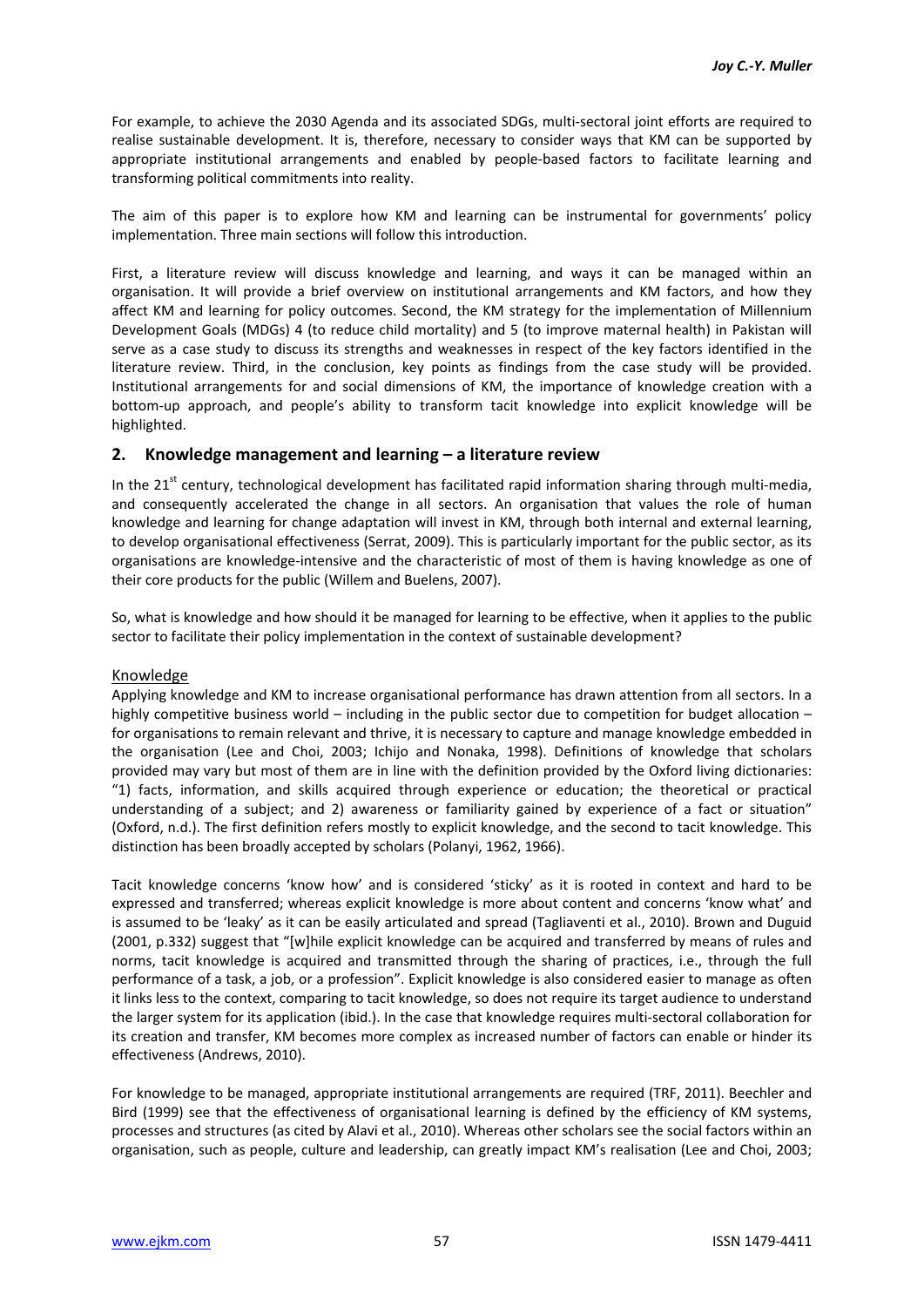For example, to achieve the 2030 Agenda and its associated SDGs, multi-sectoral joint efforts are required to realise sustainable development. It is, therefore, necessary to consider ways that KM can be supported by appropriate institutional arrangements and enabled by people-based factors to facilitate learning and transforming political commitments into reality.

The aim of this paper is to explore how KM and learning can be instrumental for governments' policy implementation. Three main sections will follow this introduction.

First, a literature review will discuss knowledge and learning, and ways it can be managed within an organisation. It will provide a brief overview on institutional arrangements and KM factors, and how they affect KM and learning for policy outcomes. Second, the KM strategy for the implementation of Millennium Development Goals (MDGs) 4 (to reduce child mortality) and 5 (to improve maternal health) in Pakistan will serve as a case study to discuss its strengths and weaknesses in respect of the key factors identified in the literature review. Third, in the conclusion, key points as findings from the case study will be provided. Institutional arrangements for and social dimensions of KM, the importance of knowledge creation with a bottom-up approach, and people's ability to transform tacit knowledge into explicit knowledge will be highlighted.

### **2. Knowledge management and learning – a literature review**

In the  $21<sup>st</sup>$  century, technological development has facilitated rapid information sharing through multi-media, and consequently accelerated the change in all sectors. An organisation that values the role of human knowledge and learning for change adaptation will invest in KM, through both internal and external learning, to develop organisational effectiveness (Serrat, 2009). This is particularly important for the public sector, as its organisations are knowledge-intensive and the characteristic of most of them is having knowledge as one of their core products for the public (Willem and Buelens, 2007).

So, what is knowledge and how should it be managed for learning to be effective, when it applies to the public sector to facilitate their policy implementation in the context of sustainable development?

### Knowledge

Applying knowledge and KM to increase organisational performance has drawn attention from all sectors. In a highly competitive business world – including in the public sector due to competition for budget allocation – for organisations to remain relevant and thrive, it is necessary to capture and manage knowledge embedded in the organisation (Lee and Choi, 2003; Ichijo and Nonaka, 1998). Definitions of knowledge that scholars provided may vary but most of them are in line with the definition provided by the Oxford living dictionaries: "1) facts, information, and skills acquired through experience or education; the theoretical or practical understanding of a subject; and 2) awareness or familiarity gained by experience of a fact or situation" (Oxford, n.d.). The first definition refers mostly to explicit knowledge, and the second to tacit knowledge. This distinction has been broadly accepted by scholars (Polanyi, 1962, 1966).

Tacit knowledge concerns 'know how' and is considered 'sticky' as it is rooted in context and hard to be expressed and transferred; whereas explicit knowledge is more about content and concerns 'know what' and is assumed to be 'leaky' as it can be easily articulated and spread (Tagliaventi et al., 2010). Brown and Duguid (2001, p.332) suggest that "[w]hile explicit knowledge can be acquired and transferred by means of rules and norms, tacit knowledge is acquired and transmitted through the sharing of practices, i.e., through the full performance of a task, a job, or a profession". Explicit knowledge is also considered easier to manage as often it links less to the context, comparing to tacit knowledge, so does not require its target audience to understand the larger system for its application (ibid.). In the case that knowledge requires multi-sectoral collaboration for its creation and transfer, KM becomes more complex as increased number of factors can enable or hinder its effectiveness (Andrews, 2010).

For knowledge to be managed, appropriate institutional arrangements are required (TRF, 2011). Beechler and Bird (1999) see that the effectiveness of organisational learning is defined by the efficiency of KM systems, processes and structures (as cited by Alavi et al., 2010). Whereas other scholars see the social factors within an organisation, such as people, culture and leadership, can greatly impact KM's realisation (Lee and Choi, 2003;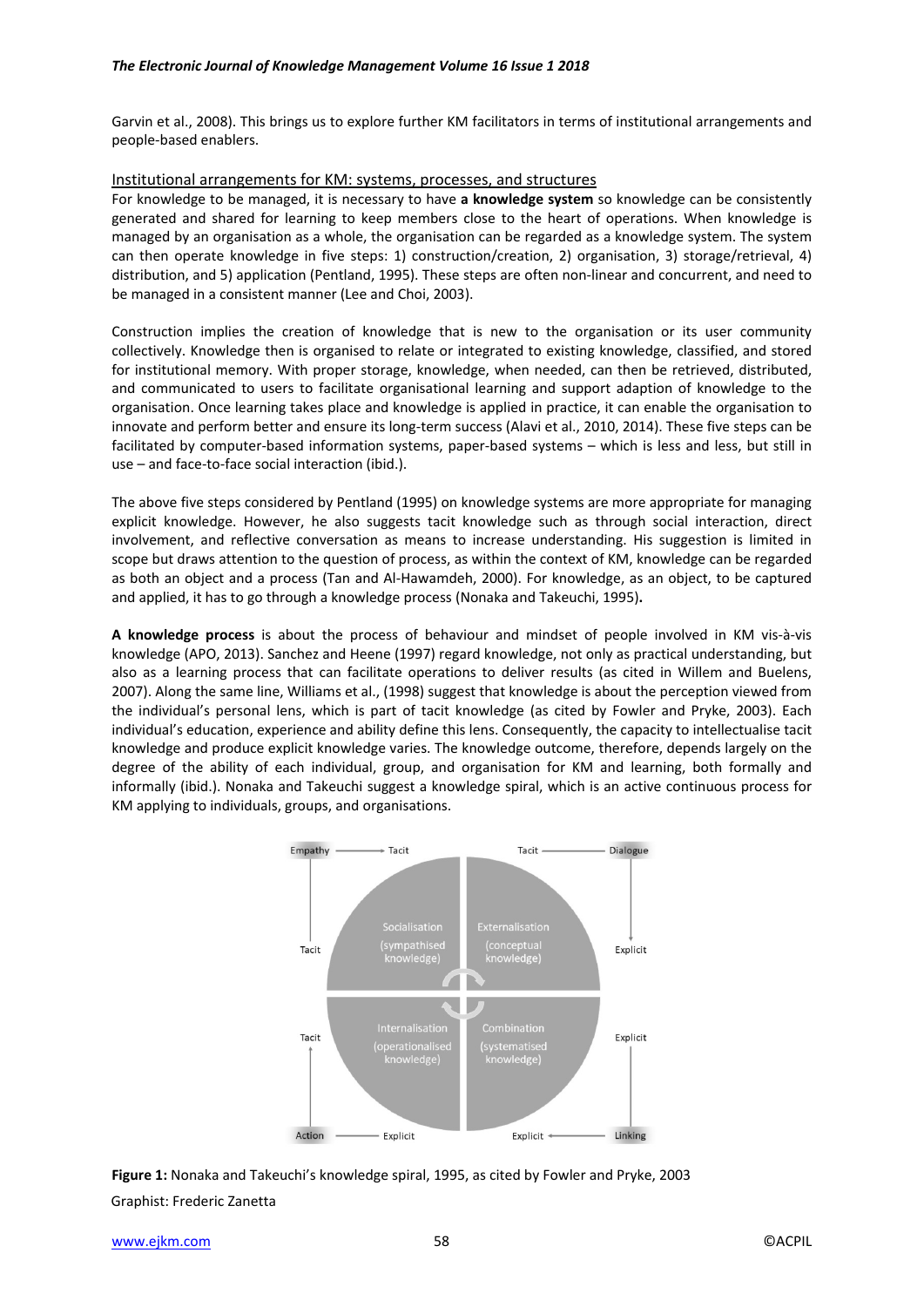Garvin et al., 2008). This brings us to explore further KM facilitators in terms of institutional arrangements and people-based enablers.

#### Institutional arrangements for KM: systems, processes, and structures

For knowledge to be managed, it is necessary to have **a knowledge system** so knowledge can be consistently generated and shared for learning to keep members close to the heart of operations. When knowledge is managed by an organisation as a whole, the organisation can be regarded as a knowledge system. The system can then operate knowledge in five steps: 1) construction/creation, 2) organisation, 3) storage/retrieval, 4) distribution, and 5) application (Pentland, 1995). These steps are often non-linear and concurrent, and need to be managed in a consistent manner (Lee and Choi, 2003).

Construction implies the creation of knowledge that is new to the organisation or its user community collectively. Knowledge then is organised to relate or integrated to existing knowledge, classified, and stored for institutional memory. With proper storage, knowledge, when needed, can then be retrieved, distributed, and communicated to users to facilitate organisational learning and support adaption of knowledge to the organisation. Once learning takes place and knowledge is applied in practice, it can enable the organisation to innovate and perform better and ensure its long-term success (Alavi et al., 2010, 2014). These five steps can be facilitated by computer-based information systems, paper-based systems – which is less and less, but still in use – and face-to-face social interaction (ibid.).

The above five steps considered by Pentland (1995) on knowledge systems are more appropriate for managing explicit knowledge. However, he also suggests tacit knowledge such as through social interaction, direct involvement, and reflective conversation as means to increase understanding. His suggestion is limited in scope but draws attention to the question of process, as within the context of KM, knowledge can be regarded as both an object and a process (Tan and Al-Hawamdeh, 2000). For knowledge, as an object, to be captured and applied, it has to go through a knowledge process (Nonaka and Takeuchi, 1995)**.** 

**A knowledge process** is about the process of behaviour and mindset of people involved in KM vis-à-vis knowledge (APO, 2013). Sanchez and Heene (1997) regard knowledge, not only as practical understanding, but also as a learning process that can facilitate operations to deliver results (as cited in Willem and Buelens, 2007). Along the same line, Williams et al., (1998) suggest that knowledge is about the perception viewed from the individual's personal lens, which is part of tacit knowledge (as cited by Fowler and Pryke, 2003). Each individual's education, experience and ability define this lens. Consequently, the capacity to intellectualise tacit knowledge and produce explicit knowledge varies. The knowledge outcome, therefore, depends largely on the degree of the ability of each individual, group, and organisation for KM and learning, both formally and informally (ibid.). Nonaka and Takeuchi suggest a knowledge spiral, which is an active continuous process for KM applying to individuals, groups, and organisations.



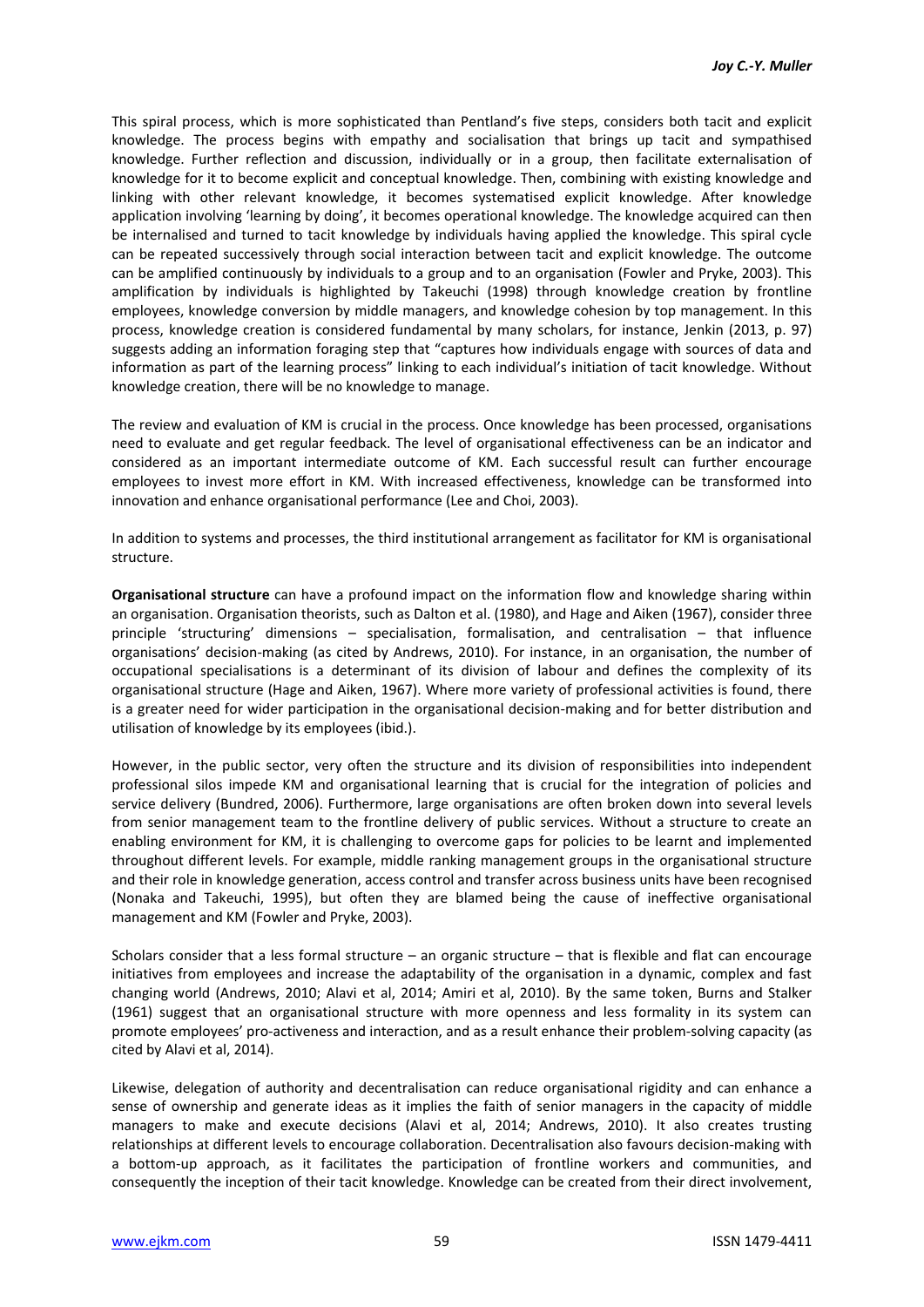This spiral process, which is more sophisticated than Pentland's five steps, considers both tacit and explicit knowledge. The process begins with empathy and socialisation that brings up tacit and sympathised knowledge. Further reflection and discussion, individually or in a group, then facilitate externalisation of knowledge for it to become explicit and conceptual knowledge. Then, combining with existing knowledge and linking with other relevant knowledge, it becomes systematised explicit knowledge. After knowledge application involving 'learning by doing', it becomes operational knowledge. The knowledge acquired can then be internalised and turned to tacit knowledge by individuals having applied the knowledge. This spiral cycle can be repeated successively through social interaction between tacit and explicit knowledge. The outcome can be amplified continuously by individuals to a group and to an organisation (Fowler and Pryke, 2003). This amplification by individuals is highlighted by Takeuchi (1998) through knowledge creation by frontline employees, knowledge conversion by middle managers, and knowledge cohesion by top management. In this process, knowledge creation is considered fundamental by many scholars, for instance, Jenkin (2013, p. 97) suggests adding an information foraging step that "captures how individuals engage with sources of data and information as part of the learning process" linking to each individual's initiation of tacit knowledge. Without knowledge creation, there will be no knowledge to manage.

The review and evaluation of KM is crucial in the process. Once knowledge has been processed, organisations need to evaluate and get regular feedback. The level of organisational effectiveness can be an indicator and considered as an important intermediate outcome of KM. Each successful result can further encourage employees to invest more effort in KM. With increased effectiveness, knowledge can be transformed into innovation and enhance organisational performance (Lee and Choi, 2003).

In addition to systems and processes, the third institutional arrangement as facilitator for KM is organisational structure.

**Organisational structure** can have a profound impact on the information flow and knowledge sharing within an organisation. Organisation theorists, such as Dalton et al. (1980), and Hage and Aiken (1967), consider three principle 'structuring' dimensions – specialisation, formalisation, and centralisation – that influence organisations' decision-making (as cited by Andrews, 2010). For instance, in an organisation, the number of occupational specialisations is a determinant of its division of labour and defines the complexity of its organisational structure (Hage and Aiken, 1967). Where more variety of professional activities is found, there is a greater need for wider participation in the organisational decision-making and for better distribution and utilisation of knowledge by its employees (ibid.).

However, in the public sector, very often the structure and its division of responsibilities into independent professional silos impede KM and organisational learning that is crucial for the integration of policies and service delivery (Bundred, 2006). Furthermore, large organisations are often broken down into several levels from senior management team to the frontline delivery of public services. Without a structure to create an enabling environment for KM, it is challenging to overcome gaps for policies to be learnt and implemented throughout different levels. For example, middle ranking management groups in the organisational structure and their role in knowledge generation, access control and transfer across business units have been recognised (Nonaka and Takeuchi, 1995), but often they are blamed being the cause of ineffective organisational management and KM (Fowler and Pryke, 2003).

Scholars consider that a less formal structure – an organic structure – that is flexible and flat can encourage initiatives from employees and increase the adaptability of the organisation in a dynamic, complex and fast changing world (Andrews, 2010; Alavi et al, 2014; Amiri et al, 2010). By the same token, Burns and Stalker (1961) suggest that an organisational structure with more openness and less formality in its system can promote employees' pro-activeness and interaction, and as a result enhance their problem-solving capacity (as cited by Alavi et al, 2014).

Likewise, delegation of authority and decentralisation can reduce organisational rigidity and can enhance a sense of ownership and generate ideas as it implies the faith of senior managers in the capacity of middle managers to make and execute decisions (Alavi et al, 2014; Andrews, 2010). It also creates trusting relationships at different levels to encourage collaboration. Decentralisation also favours decision-making with a bottom-up approach, as it facilitates the participation of frontline workers and communities, and consequently the inception of their tacit knowledge. Knowledge can be created from their direct involvement,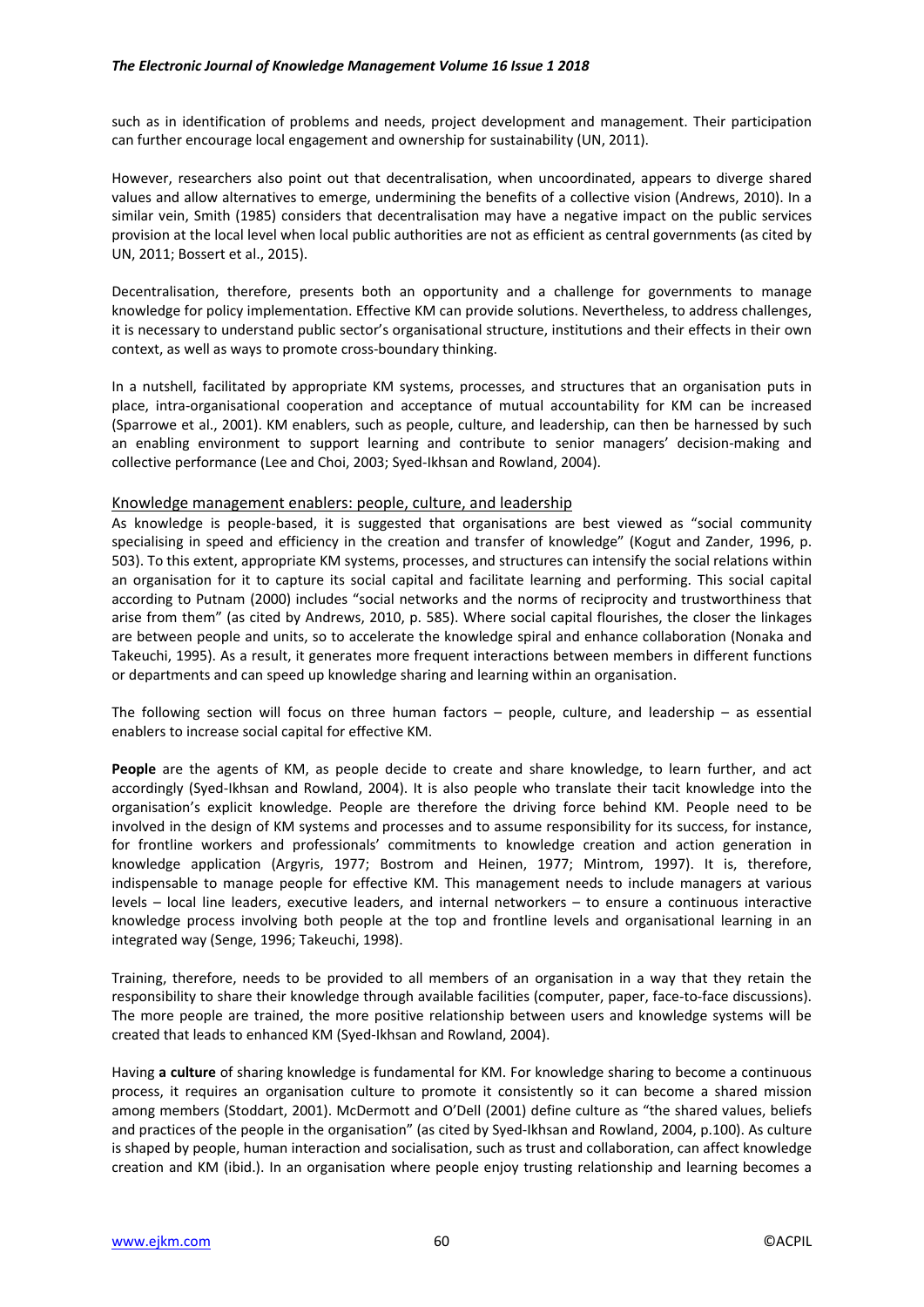#### *The Electronic Journal of Knowledge Management Volume 16 Issue 1 2018*

such as in identification of problems and needs, project development and management. Their participation can further encourage local engagement and ownership for sustainability (UN, 2011).

However, researchers also point out that decentralisation, when uncoordinated, appears to diverge shared values and allow alternatives to emerge, undermining the benefits of a collective vision (Andrews, 2010). In a similar vein, Smith (1985) considers that decentralisation may have a negative impact on the public services provision at the local level when local public authorities are not as efficient as central governments (as cited by UN, 2011; Bossert et al., 2015).

Decentralisation, therefore, presents both an opportunity and a challenge for governments to manage knowledge for policy implementation. Effective KM can provide solutions. Nevertheless, to address challenges, it is necessary to understand public sector's organisational structure, institutions and their effects in their own context, as well as ways to promote cross-boundary thinking.

In a nutshell, facilitated by appropriate KM systems, processes, and structures that an organisation puts in place, intra-organisational cooperation and acceptance of mutual accountability for KM can be increased (Sparrowe et al., 2001). KM enablers, such as people, culture, and leadership, can then be harnessed by such an enabling environment to support learning and contribute to senior managers' decision-making and collective performance (Lee and Choi, 2003; Syed-Ikhsan and Rowland, 2004).

#### Knowledge management enablers: people, culture, and leadership

As knowledge is people-based, it is suggested that organisations are best viewed as "social community specialising in speed and efficiency in the creation and transfer of knowledge" (Kogut and Zander, 1996, p. 503). To this extent, appropriate KM systems, processes, and structures can intensify the social relations within an organisation for it to capture its social capital and facilitate learning and performing. This social capital according to Putnam (2000) includes "social networks and the norms of reciprocity and trustworthiness that arise from them" (as cited by Andrews, 2010, p. 585). Where social capital flourishes, the closer the linkages are between people and units, so to accelerate the knowledge spiral and enhance collaboration (Nonaka and Takeuchi, 1995). As a result, it generates more frequent interactions between members in different functions or departments and can speed up knowledge sharing and learning within an organisation.

The following section will focus on three human factors  $-$  people, culture, and leadership  $-$  as essential enablers to increase social capital for effective KM.

**People** are the agents of KM, as people decide to create and share knowledge, to learn further, and act accordingly (Syed-Ikhsan and Rowland, 2004). It is also people who translate their tacit knowledge into the organisation's explicit knowledge. People are therefore the driving force behind KM. People need to be involved in the design of KM systems and processes and to assume responsibility for its success, for instance, for frontline workers and professionals' commitments to knowledge creation and action generation in knowledge application (Argyris, 1977; Bostrom and Heinen, 1977; Mintrom, 1997). It is, therefore, indispensable to manage people for effective KM. This management needs to include managers at various levels – local line leaders, executive leaders, and internal networkers – to ensure a continuous interactive knowledge process involving both people at the top and frontline levels and organisational learning in an integrated way (Senge, 1996; Takeuchi, 1998).

Training, therefore, needs to be provided to all members of an organisation in a way that they retain the responsibility to share their knowledge through available facilities (computer, paper, face-to-face discussions). The more people are trained, the more positive relationship between users and knowledge systems will be created that leads to enhanced KM (Syed-Ikhsan and Rowland, 2004).

Having **a culture** of sharing knowledge is fundamental for KM. For knowledge sharing to become a continuous process, it requires an organisation culture to promote it consistently so it can become a shared mission among members (Stoddart, 2001). McDermott and O'Dell (2001) define culture as "the shared values, beliefs and practices of the people in the organisation" (as cited by Syed-Ikhsan and Rowland, 2004, p.100). As culture is shaped by people, human interaction and socialisation, such as trust and collaboration, can affect knowledge creation and KM (ibid.). In an organisation where people enjoy trusting relationship and learning becomes a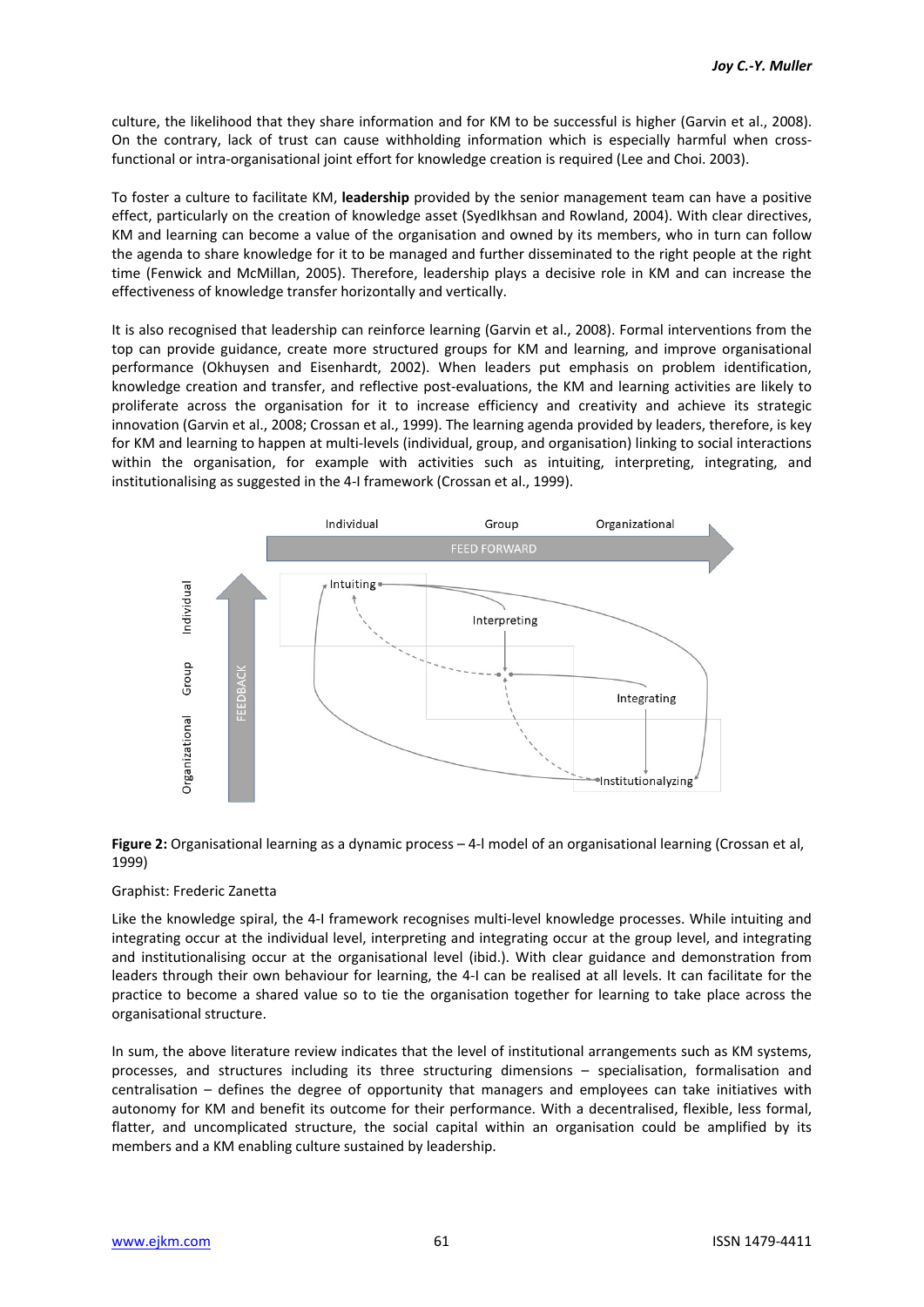culture, the likelihood that they share information and for KM to be successful is higher (Garvin et al., 2008). On the contrary, lack of trust can cause withholding information which is especially harmful when crossfunctional or intra-organisational joint effort for knowledge creation is required (Lee and Choi. 2003).

To foster a culture to facilitate KM, **leadership** provided by the senior management team can have a positive effect, particularly on the creation of knowledge asset (SyedIkhsan and Rowland, 2004). With clear directives, KM and learning can become a value of the organisation and owned by its members, who in turn can follow the agenda to share knowledge for it to be managed and further disseminated to the right people at the right time (Fenwick and McMillan, 2005). Therefore, leadership plays a decisive role in KM and can increase the effectiveness of knowledge transfer horizontally and vertically.

It is also recognised that leadership can reinforce learning (Garvin et al., 2008). Formal interventions from the top can provide guidance, create more structured groups for KM and learning, and improve organisational performance (Okhuysen and Eisenhardt, 2002). When leaders put emphasis on problem identification, knowledge creation and transfer, and reflective post-evaluations, the KM and learning activities are likely to proliferate across the organisation for it to increase efficiency and creativity and achieve its strategic innovation (Garvin et al., 2008; Crossan et al., 1999). The learning agenda provided by leaders, therefore, is key for KM and learning to happen at multi-levels (individual, group, and organisation) linking to social interactions within the organisation, for example with activities such as intuiting, interpreting, integrating, and institutionalising as suggested in the 4-I framework (Crossan et al., 1999).



### **Figure 2:** Organisational learning as a dynamic process – 4-l model of an organisational learning (Crossan et al, 1999)

### Graphist: Frederic Zanetta

Like the knowledge spiral, the 4-I framework recognises multi-level knowledge processes. While intuiting and integrating occur at the individual level, interpreting and integrating occur at the group level, and integrating and institutionalising occur at the organisational level (ibid.). With clear guidance and demonstration from leaders through their own behaviour for learning, the 4-I can be realised at all levels. It can facilitate for the practice to become a shared value so to tie the organisation together for learning to take place across the organisational structure.

In sum, the above literature review indicates that the level of institutional arrangements such as KM systems, processes, and structures including its three structuring dimensions – specialisation, formalisation and centralisation – defines the degree of opportunity that managers and employees can take initiatives with autonomy for KM and benefit its outcome for their performance. With a decentralised, flexible, less formal, flatter, and uncomplicated structure, the social capital within an organisation could be amplified by its members and a KM enabling culture sustained by leadership.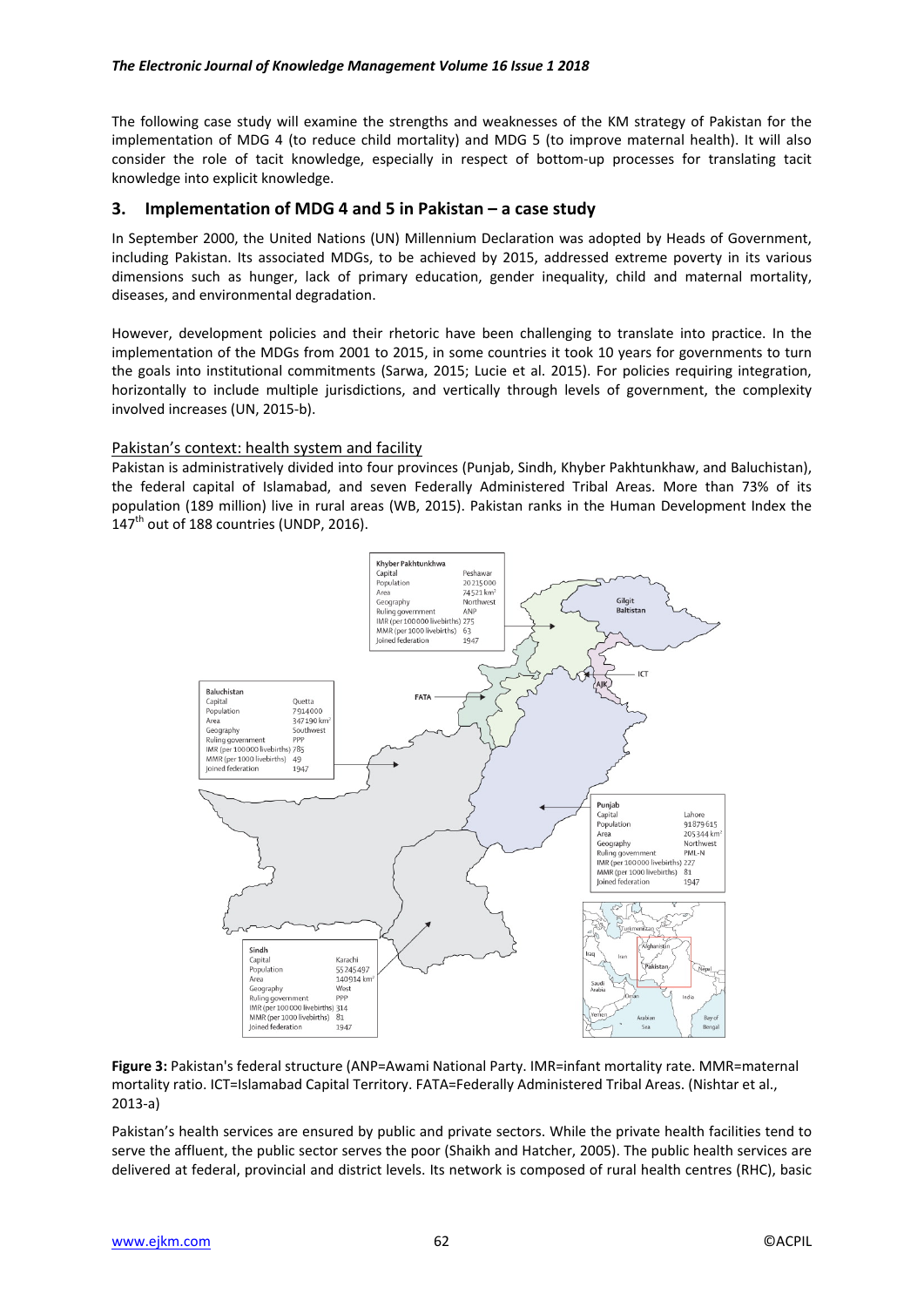The following case study will examine the strengths and weaknesses of the KM strategy of Pakistan for the implementation of MDG 4 (to reduce child mortality) and MDG 5 (to improve maternal health). It will also consider the role of tacit knowledge, especially in respect of bottom-up processes for translating tacit knowledge into explicit knowledge.

## **3. Implementation of MDG 4 and 5 in Pakistan – a case study**

In September 2000, the United Nations (UN) Millennium Declaration was adopted by Heads of Government, including Pakistan. Its associated MDGs, to be achieved by 2015, addressed extreme poverty in its various dimensions such as hunger, lack of primary education, gender inequality, child and maternal mortality, diseases, and environmental degradation.

However, development policies and their rhetoric have been challenging to translate into practice. In the implementation of the MDGs from 2001 to 2015, in some countries it took 10 years for governments to turn the goals into institutional commitments (Sarwa, 2015; Lucie et al. 2015). For policies requiring integration, horizontally to include multiple jurisdictions, and vertically through levels of government, the complexity involved increases (UN, 2015-b).

### Pakistan's context: health system and facility

Pakistan is administratively divided into four provinces (Punjab, Sindh, Khyber Pakhtunkhaw, and Baluchistan), the federal capital of Islamabad, and seven Federally Administered Tribal Areas. More than 73% of its population (189 million) live in rural areas (WB, 2015). Pakistan ranks in the Human Development Index the  $147<sup>th</sup>$  out of 188 countries (UNDP, 2016).



**Figure 3:** Pakistan's federal structure (ANP=Awami National Party. IMR=infant mortality rate. MMR=maternal mortality ratio. ICT=Islamabad Capital Territory. FATA=Federally Administered Tribal Areas. (Nishtar et al., 2013-a)

Pakistan's health services are ensured by public and private sectors. While the private health facilities tend to serve the affluent, the public sector serves the poor (Shaikh and Hatcher, 2005). The public health services are delivered at federal, provincial and district levels. Its network is composed of rural health centres (RHC), basic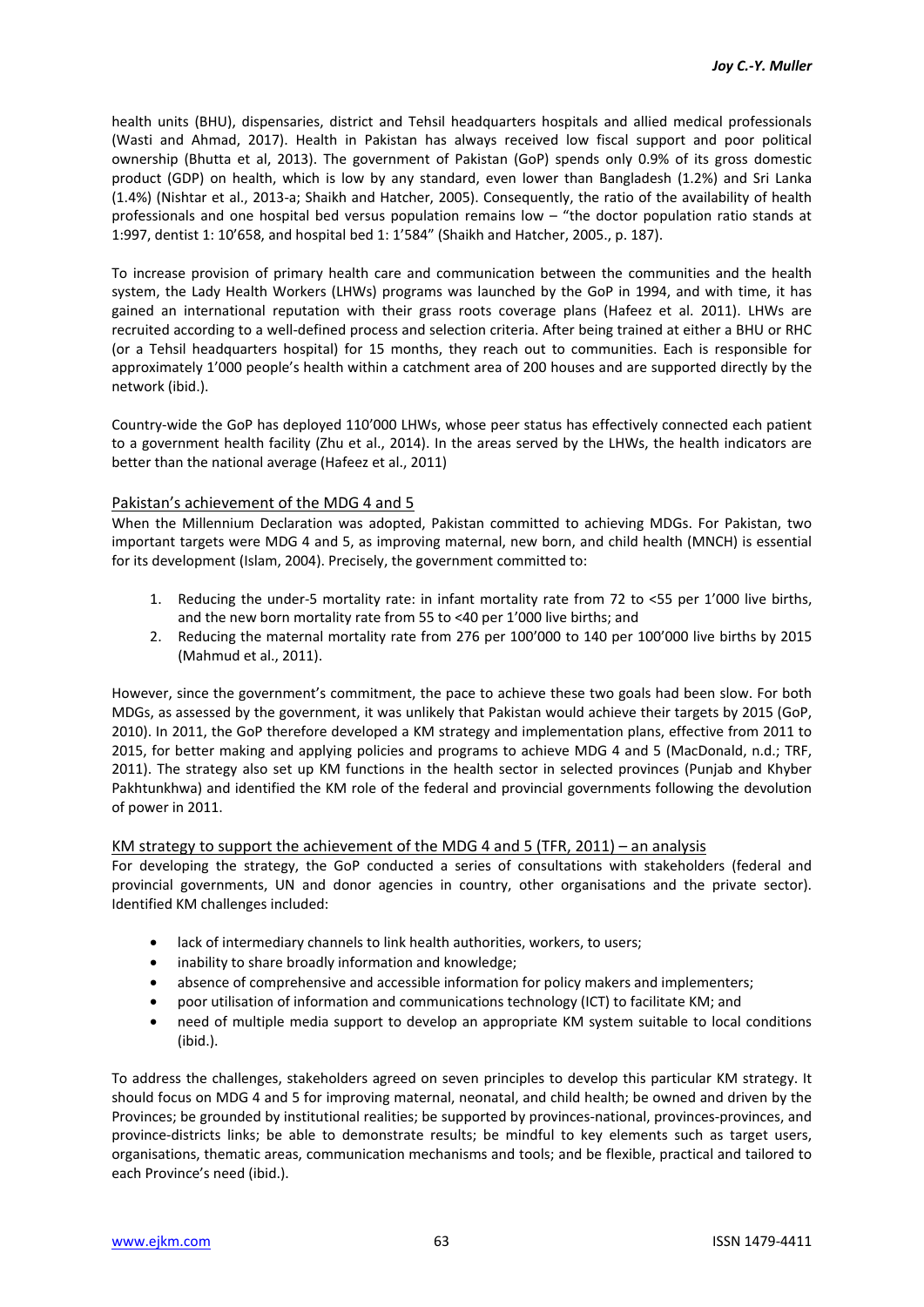health units (BHU), dispensaries, district and Tehsil headquarters hospitals and allied medical professionals (Wasti and Ahmad, 2017). Health in Pakistan has always received low fiscal support and poor political ownership (Bhutta et al, 2013). The government of Pakistan (GoP) spends only 0.9% of its gross domestic product (GDP) on health, which is low by any standard, even lower than Bangladesh (1.2%) and Sri Lanka (1.4%) (Nishtar et al., 2013-a; Shaikh and Hatcher, 2005). Consequently, the ratio of the availability of health professionals and one hospital bed versus population remains low – "the doctor population ratio stands at 1:997, dentist 1: 10'658, and hospital bed 1: 1'584" (Shaikh and Hatcher, 2005., p. 187).

To increase provision of primary health care and communication between the communities and the health system, the Lady Health Workers (LHWs) programs was launched by the GoP in 1994, and with time, it has gained an international reputation with their grass roots coverage plans (Hafeez et al. 2011). LHWs are recruited according to a well-defined process and selection criteria. After being trained at either a BHU or RHC (or a Tehsil headquarters hospital) for 15 months, they reach out to communities. Each is responsible for approximately 1'000 people's health within a catchment area of 200 houses and are supported directly by the network (ibid.).

Country-wide the GoP has deployed 110'000 LHWs, whose peer status has effectively connected each patient to a government health facility (Zhu et al., 2014). In the areas served by the LHWs, the health indicators are better than the national average (Hafeez et al., 2011)

### Pakistan's achievement of the MDG 4 and 5

When the Millennium Declaration was adopted, Pakistan committed to achieving MDGs. For Pakistan, two important targets were MDG 4 and 5, as improving maternal, new born, and child health (MNCH) is essential for its development (Islam, 2004). Precisely, the government committed to:

- 1. Reducing the under-5 mortality rate: in infant mortality rate from 72 to <55 per 1'000 live births, and the new born mortality rate from 55 to <40 per 1'000 live births; and
- 2. Reducing the maternal mortality rate from 276 per 100'000 to 140 per 100'000 live births by 2015 (Mahmud et al., 2011).

However, since the government's commitment, the pace to achieve these two goals had been slow. For both MDGs, as assessed by the government, it was unlikely that Pakistan would achieve their targets by 2015 (GoP, 2010). In 2011, the GoP therefore developed a KM strategy and implementation plans, effective from 2011 to 2015, for better making and applying policies and programs to achieve MDG 4 and 5 (MacDonald, n.d.; TRF, 2011). The strategy also set up KM functions in the health sector in selected provinces (Punjab and Khyber Pakhtunkhwa) and identified the KM role of the federal and provincial governments following the devolution of power in 2011.

### KM strategy to support the achievement of the MDG 4 and 5 (TFR, 2011) – an analysis

For developing the strategy, the GoP conducted a series of consultations with stakeholders (federal and provincial governments, UN and donor agencies in country, other organisations and the private sector). Identified KM challenges included:

- lack of intermediary channels to link health authorities, workers, to users;
- inability to share broadly information and knowledge;
- absence of comprehensive and accessible information for policy makers and implementers;
- poor utilisation of information and communications technology (ICT) to facilitate KM; and
- need of multiple media support to develop an appropriate KM system suitable to local conditions (ibid.).

To address the challenges, stakeholders agreed on seven principles to develop this particular KM strategy. It should focus on MDG 4 and 5 for improving maternal, neonatal, and child health; be owned and driven by the Provinces; be grounded by institutional realities; be supported by provinces-national, provinces-provinces, and province-districts links; be able to demonstrate results; be mindful to key elements such as target users, organisations, thematic areas, communication mechanisms and tools; and be flexible, practical and tailored to each Province's need (ibid.).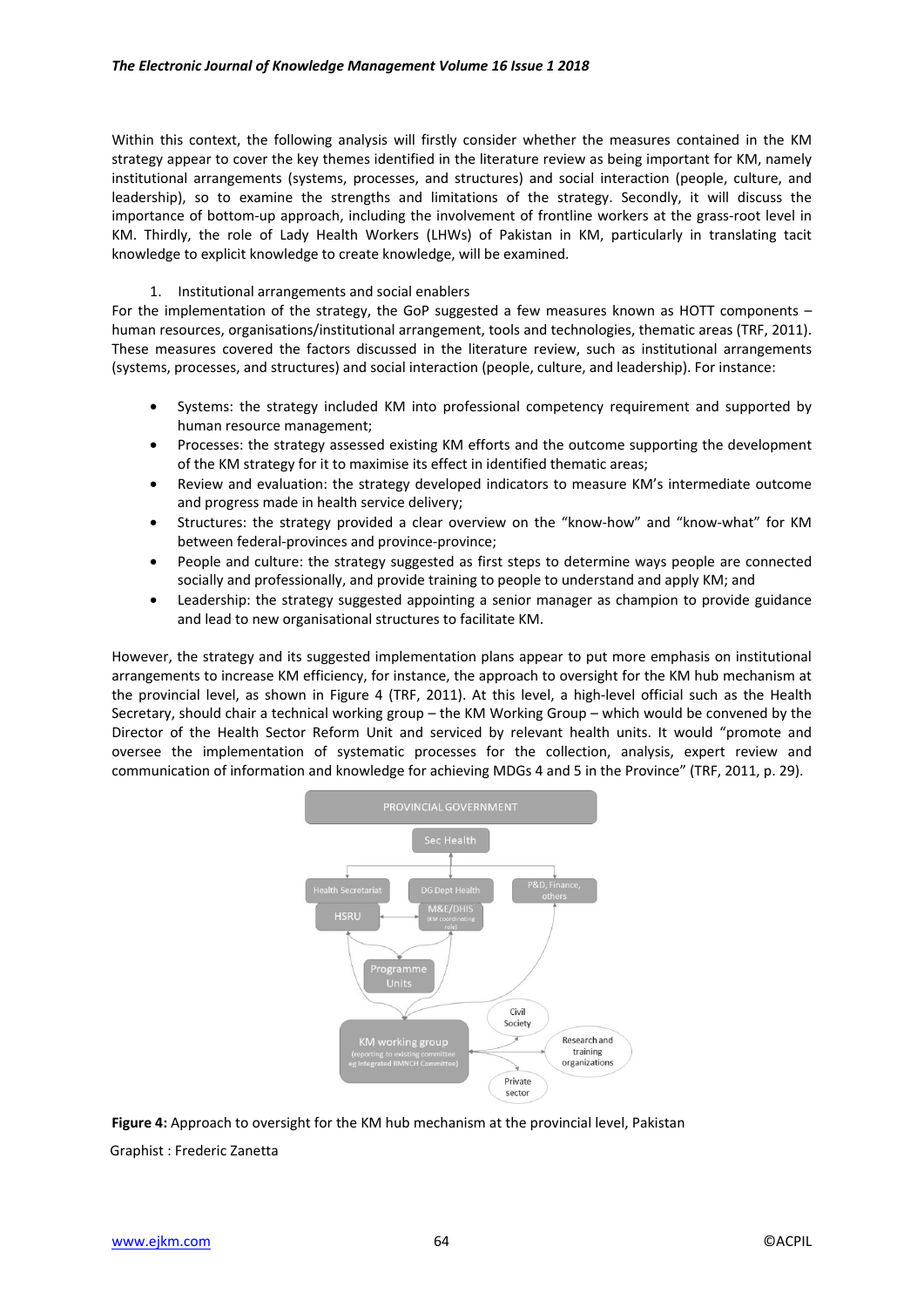Within this context, the following analysis will firstly consider whether the measures contained in the KM strategy appear to cover the key themes identified in the literature review as being important for KM, namely institutional arrangements (systems, processes, and structures) and social interaction (people, culture, and leadership), so to examine the strengths and limitations of the strategy. Secondly, it will discuss the importance of bottom-up approach, including the involvement of frontline workers at the grass-root level in KM. Thirdly, the role of Lady Health Workers (LHWs) of Pakistan in KM, particularly in translating tacit knowledge to explicit knowledge to create knowledge, will be examined.

### 1. Institutional arrangements and social enablers

For the implementation of the strategy, the GoP suggested a few measures known as HOTT components – human resources, organisations/institutional arrangement, tools and technologies, thematic areas (TRF, 2011). These measures covered the factors discussed in the literature review, such as institutional arrangements (systems, processes, and structures) and social interaction (people, culture, and leadership). For instance:

- Systems: the strategy included KM into professional competency requirement and supported by human resource management;
- Processes: the strategy assessed existing KM efforts and the outcome supporting the development of the KM strategy for it to maximise its effect in identified thematic areas;
- Review and evaluation: the strategy developed indicators to measure KM's intermediate outcome and progress made in health service delivery;
- Structures: the strategy provided a clear overview on the "know-how" and "know-what" for KM between federal-provinces and province-province;
- People and culture: the strategy suggested as first steps to determine ways people are connected socially and professionally, and provide training to people to understand and apply KM; and
- Leadership: the strategy suggested appointing a senior manager as champion to provide guidance and lead to new organisational structures to facilitate KM.

However, the strategy and its suggested implementation plans appear to put more emphasis on institutional arrangements to increase KM efficiency, for instance, the approach to oversight for the KM hub mechanism at the provincial level, as shown in Figure 4 (TRF, 2011). At this level, a high-level official such as the Health Secretary, should chair a technical working group – the KM Working Group – which would be convened by the Director of the Health Sector Reform Unit and serviced by relevant health units. It would "promote and oversee the implementation of systematic processes for the collection, analysis, expert review and communication of information and knowledge for achieving MDGs 4 and 5 in the Province" (TRF, 2011, p. 29).



**Figure 4:** Approach to oversight for the KM hub mechanism at the provincial level, Pakistan Graphist : Frederic Zanetta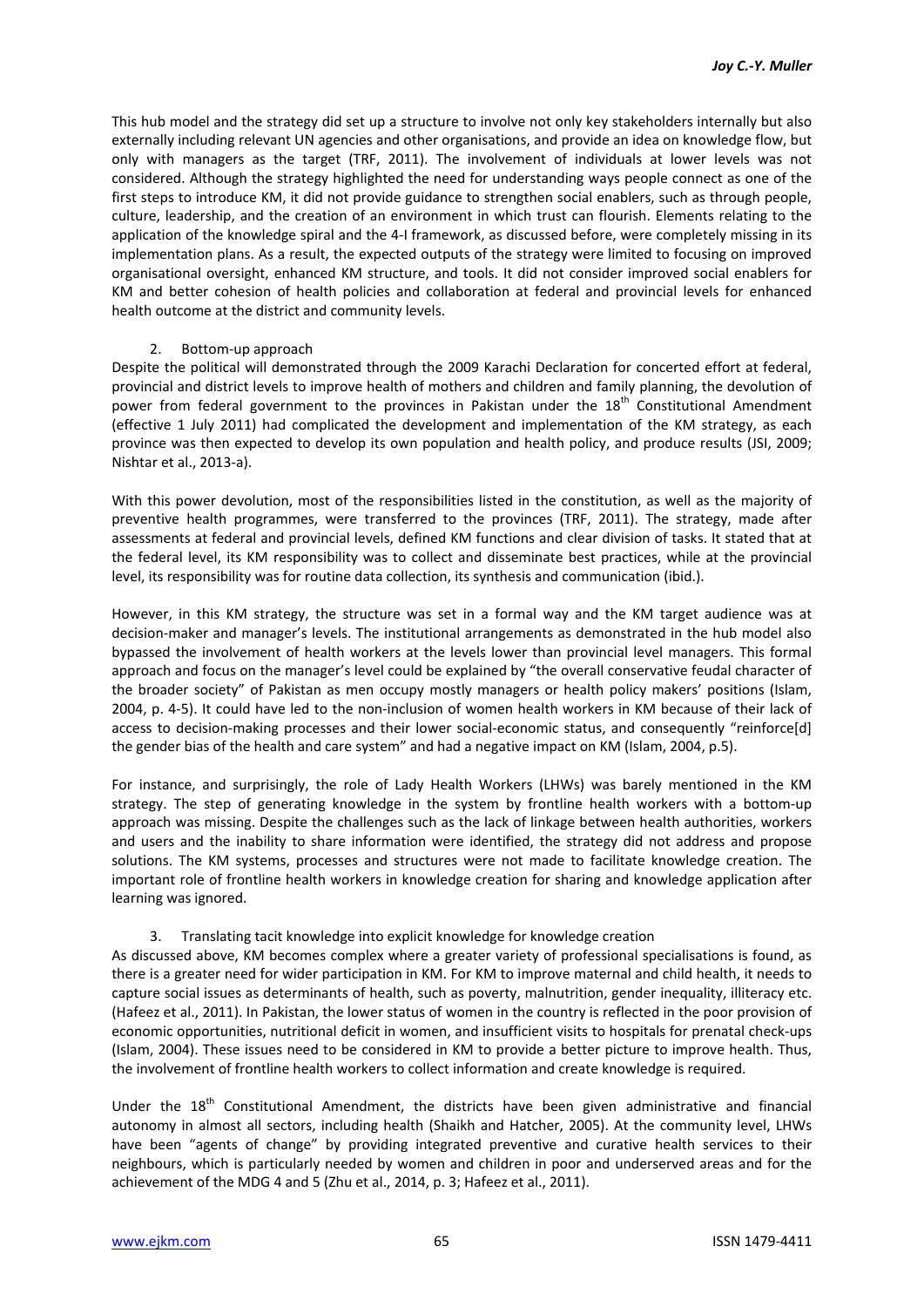This hub model and the strategy did set up a structure to involve not only key stakeholders internally but also externally including relevant UN agencies and other organisations, and provide an idea on knowledge flow, but only with managers as the target (TRF, 2011). The involvement of individuals at lower levels was not considered. Although the strategy highlighted the need for understanding ways people connect as one of the first steps to introduce KM, it did not provide guidance to strengthen social enablers, such as through people, culture, leadership, and the creation of an environment in which trust can flourish. Elements relating to the application of the knowledge spiral and the 4-I framework, as discussed before, were completely missing in its implementation plans. As a result, the expected outputs of the strategy were limited to focusing on improved organisational oversight, enhanced KM structure, and tools. It did not consider improved social enablers for KM and better cohesion of health policies and collaboration at federal and provincial levels for enhanced health outcome at the district and community levels.

### 2. Bottom-up approach

Despite the political will demonstrated through the 2009 Karachi Declaration for concerted effort at federal, provincial and district levels to improve health of mothers and children and family planning, the devolution of power from federal government to the provinces in Pakistan under the 18<sup>th</sup> Constitutional Amendment (effective 1 July 2011) had complicated the development and implementation of the KM strategy, as each province was then expected to develop its own population and health policy, and produce results (JSI, 2009; Nishtar et al., 2013-a).

With this power devolution, most of the responsibilities listed in the constitution, as well as the majority of preventive health programmes, were transferred to the provinces (TRF, 2011). The strategy, made after assessments at federal and provincial levels, defined KM functions and clear division of tasks. It stated that at the federal level, its KM responsibility was to collect and disseminate best practices, while at the provincial level, its responsibility was for routine data collection, its synthesis and communication (ibid.).

However, in this KM strategy, the structure was set in a formal way and the KM target audience was at decision-maker and manager's levels. The institutional arrangements as demonstrated in the hub model also bypassed the involvement of health workers at the levels lower than provincial level managers. This formal approach and focus on the manager's level could be explained by "the overall conservative feudal character of the broader society" of Pakistan as men occupy mostly managers or health policy makers' positions (Islam, 2004, p. 4-5). It could have led to the non-inclusion of women health workers in KM because of their lack of access to decision-making processes and their lower social-economic status, and consequently "reinforce[d] the gender bias of the health and care system" and had a negative impact on KM (Islam, 2004, p.5).

For instance, and surprisingly, the role of Lady Health Workers (LHWs) was barely mentioned in the KM strategy. The step of generating knowledge in the system by frontline health workers with a bottom-up approach was missing. Despite the challenges such as the lack of linkage between health authorities, workers and users and the inability to share information were identified, the strategy did not address and propose solutions. The KM systems, processes and structures were not made to facilitate knowledge creation. The important role of frontline health workers in knowledge creation for sharing and knowledge application after learning was ignored.

### 3. Translating tacit knowledge into explicit knowledge for knowledge creation

As discussed above, KM becomes complex where a greater variety of professional specialisations is found, as there is a greater need for wider participation in KM. For KM to improve maternal and child health, it needs to capture social issues as determinants of health, such as poverty, malnutrition, gender inequality, illiteracy etc. (Hafeez et al., 2011). In Pakistan, the lower status of women in the country is reflected in the poor provision of economic opportunities, nutritional deficit in women, and insufficient visits to hospitals for prenatal check-ups (Islam, 2004). These issues need to be considered in KM to provide a better picture to improve health. Thus, the involvement of frontline health workers to collect information and create knowledge is required.

Under the 18<sup>th</sup> Constitutional Amendment, the districts have been given administrative and financial autonomy in almost all sectors, including health (Shaikh and Hatcher, 2005). At the community level, LHWs have been "agents of change" by providing integrated preventive and curative health services to their neighbours, which is particularly needed by women and children in poor and underserved areas and for the achievement of the MDG 4 and 5 (Zhu et al., 2014, p. 3; Hafeez et al., 2011).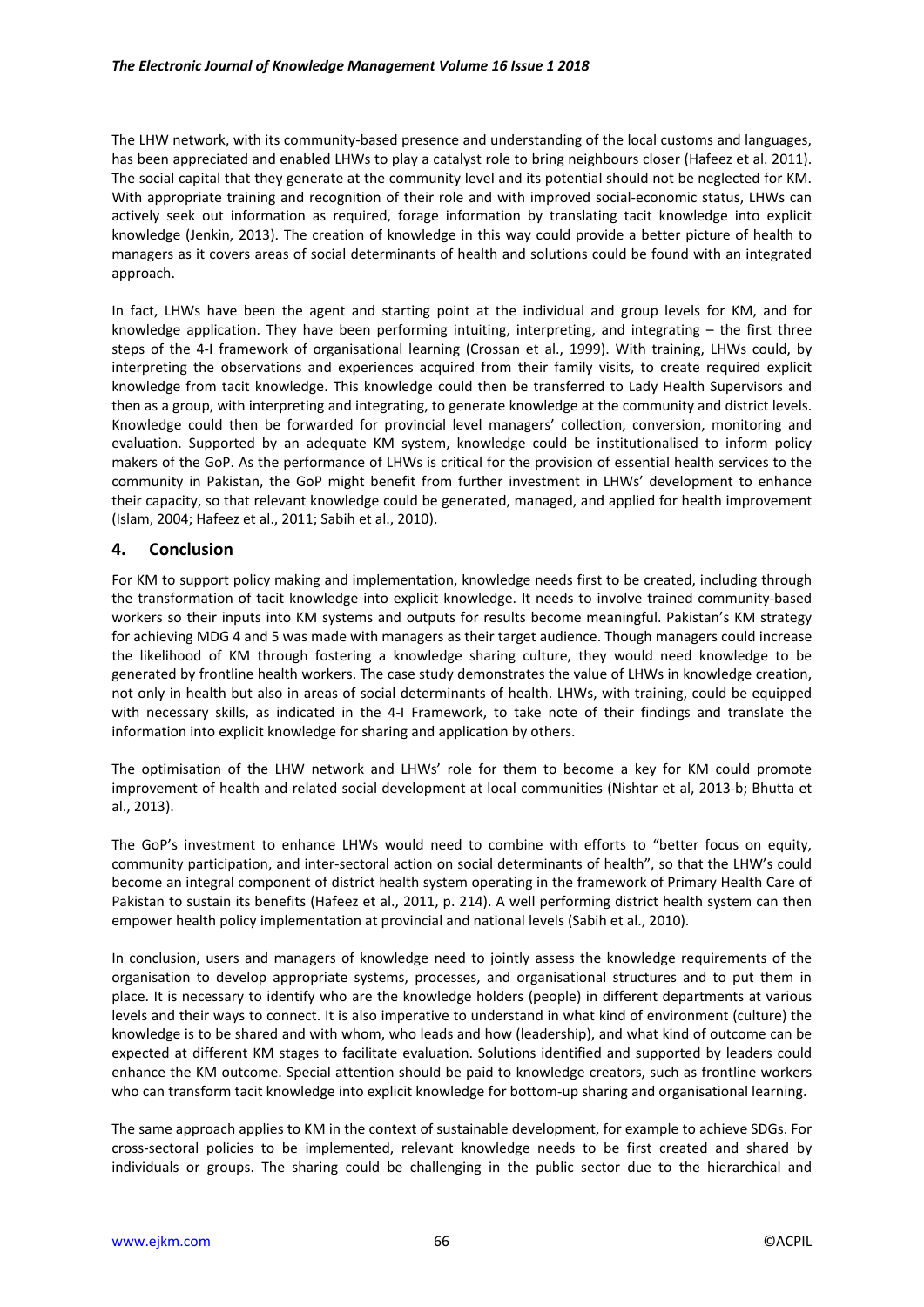The LHW network, with its community-based presence and understanding of the local customs and languages, has been appreciated and enabled LHWs to play a catalyst role to bring neighbours closer (Hafeez et al. 2011). The social capital that they generate at the community level and its potential should not be neglected for KM. With appropriate training and recognition of their role and with improved social-economic status, LHWs can actively seek out information as required, forage information by translating tacit knowledge into explicit knowledge (Jenkin, 2013). The creation of knowledge in this way could provide a better picture of health to managers as it covers areas of social determinants of health and solutions could be found with an integrated approach.

In fact, LHWs have been the agent and starting point at the individual and group levels for KM, and for knowledge application. They have been performing intuiting, interpreting, and integrating – the first three steps of the 4-I framework of organisational learning (Crossan et al., 1999). With training, LHWs could, by interpreting the observations and experiences acquired from their family visits, to create required explicit knowledge from tacit knowledge. This knowledge could then be transferred to Lady Health Supervisors and then as a group, with interpreting and integrating, to generate knowledge at the community and district levels. Knowledge could then be forwarded for provincial level managers' collection, conversion, monitoring and evaluation. Supported by an adequate KM system, knowledge could be institutionalised to inform policy makers of the GoP. As the performance of LHWs is critical for the provision of essential health services to the community in Pakistan, the GoP might benefit from further investment in LHWs' development to enhance their capacity, so that relevant knowledge could be generated, managed, and applied for health improvement (Islam, 2004; Hafeez et al., 2011; Sabih et al., 2010).

# **4. Conclusion**

For KM to support policy making and implementation, knowledge needs first to be created, including through the transformation of tacit knowledge into explicit knowledge. It needs to involve trained community-based workers so their inputs into KM systems and outputs for results become meaningful. Pakistan's KM strategy for achieving MDG 4 and 5 was made with managers as their target audience. Though managers could increase the likelihood of KM through fostering a knowledge sharing culture, they would need knowledge to be generated by frontline health workers. The case study demonstrates the value of LHWs in knowledge creation, not only in health but also in areas of social determinants of health. LHWs, with training, could be equipped with necessary skills, as indicated in the 4-I Framework, to take note of their findings and translate the information into explicit knowledge for sharing and application by others.

The optimisation of the LHW network and LHWs' role for them to become a key for KM could promote improvement of health and related social development at local communities (Nishtar et al, 2013-b; Bhutta et al., 2013).

The GoP's investment to enhance LHWs would need to combine with efforts to "better focus on equity, community participation, and inter-sectoral action on social determinants of health", so that the LHW's could become an integral component of district health system operating in the framework of Primary Health Care of Pakistan to sustain its benefits (Hafeez et al., 2011, p. 214). A well performing district health system can then empower health policy implementation at provincial and national levels (Sabih et al., 2010).

In conclusion, users and managers of knowledge need to jointly assess the knowledge requirements of the organisation to develop appropriate systems, processes, and organisational structures and to put them in place. It is necessary to identify who are the knowledge holders (people) in different departments at various levels and their ways to connect. It is also imperative to understand in what kind of environment (culture) the knowledge is to be shared and with whom, who leads and how (leadership), and what kind of outcome can be expected at different KM stages to facilitate evaluation. Solutions identified and supported by leaders could enhance the KM outcome. Special attention should be paid to knowledge creators, such as frontline workers who can transform tacit knowledge into explicit knowledge for bottom-up sharing and organisational learning.

The same approach applies to KM in the context of sustainable development, for example to achieve SDGs. For cross-sectoral policies to be implemented, relevant knowledge needs to be first created and shared by individuals or groups. The sharing could be challenging in the public sector due to the hierarchical and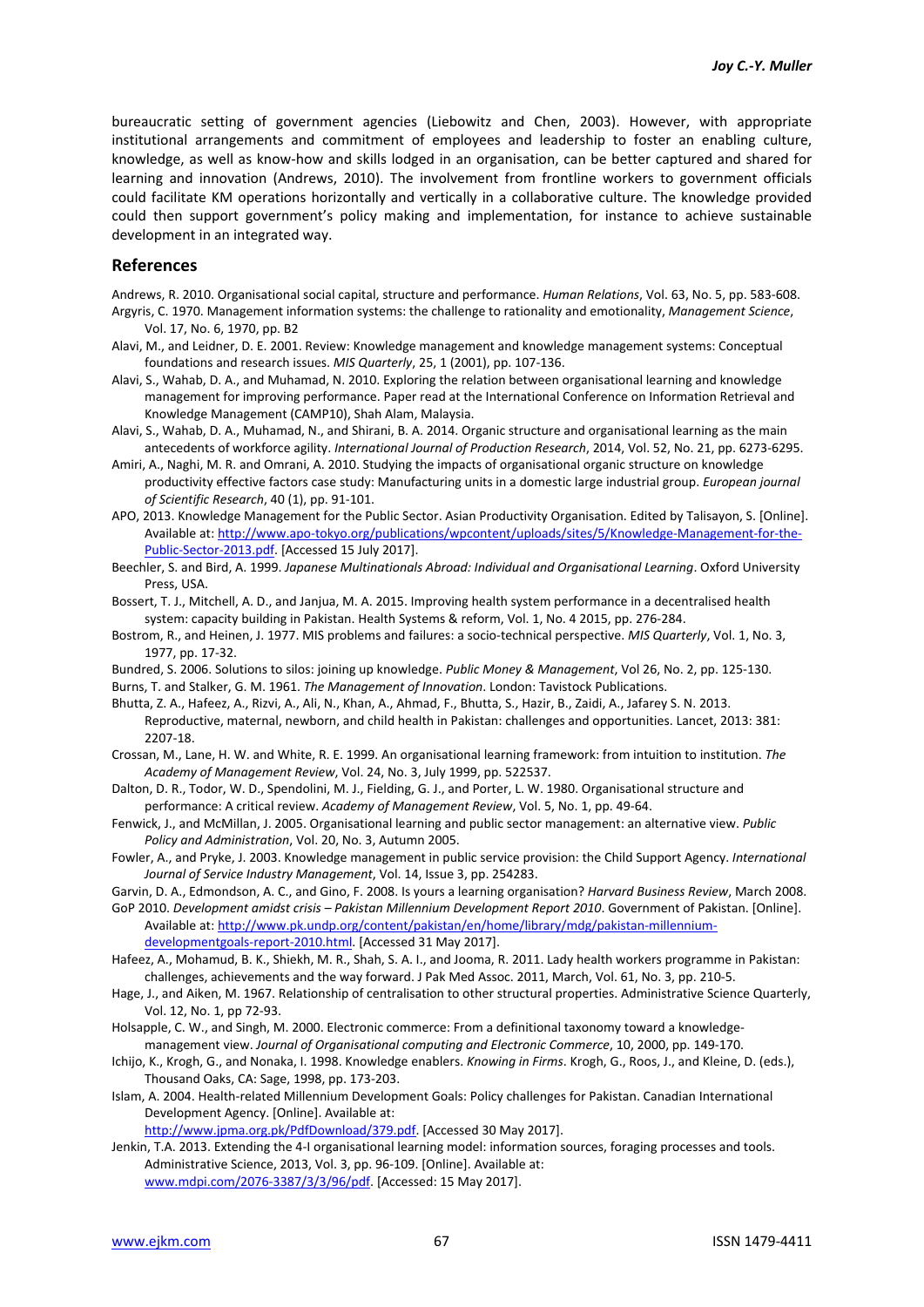bureaucratic setting of government agencies (Liebowitz and Chen, 2003). However, with appropriate institutional arrangements and commitment of employees and leadership to foster an enabling culture, knowledge, as well as know-how and skills lodged in an organisation, can be better captured and shared for learning and innovation (Andrews, 2010). The involvement from frontline workers to government officials could facilitate KM operations horizontally and vertically in a collaborative culture. The knowledge provided could then support government's policy making and implementation, for instance to achieve sustainable development in an integrated way.

#### **References**

Andrews, R. 2010. Organisational social capital, structure and performance. *Human Relations*, Vol. 63, No. 5, pp. 583-608. Argyris, C. 1970. Management information systems: the challenge to rationality and emotionality, *Management Science*, Vol. 17, No. 6, 1970, pp. B2

- Alavi, M., and Leidner, D. E. 2001. Review: Knowledge management and knowledge management systems: Conceptual foundations and research issues. *MIS Quarterly*, 25, 1 (2001), pp. 107-136.
- Alavi, S., Wahab, D. A., and Muhamad, N. 2010. Exploring the relation between organisational learning and knowledge management for improving performance. Paper read at the International Conference on Information Retrieval and Knowledge Management (CAMP10), Shah Alam, Malaysia.
- Alavi, S., Wahab, D. A., Muhamad, N., and Shirani, B. A. 2014. Organic structure and organisational learning as the main antecedents of workforce agility. *International Journal of Production Research*, 2014, Vol. 52, No. 21, pp. 6273-6295.
- Amiri, A., Naghi, M. R. and Omrani, A. 2010. Studying the impacts of organisational organic structure on knowledge productivity effective factors case study: Manufacturing units in a domestic large industrial group. *European journal of Scientific Research*, 40 (1), pp. 91-101.
- APO, 2013. Knowledge Management for the Public Sector. Asian Productivity Organisation. Edited by Talisayon, S. [Online]. Available at: http://www.apo-tokyo.org/publications/wpcontent/uploads/sites/5/Knowledge-Management-for-the-Public-Sector-2013.pdf. [Accessed 15 July 2017].
- Beechler, S. and Bird, A. 1999. *Japanese Multinationals Abroad: Individual and Organisational Learning*. Oxford University Press, USA.
- Bossert, T. J., Mitchell, A. D., and Janjua, M. A. 2015. Improving health system performance in a decentralised health system: capacity building in Pakistan. Health Systems & reform, Vol. 1, No. 4 2015, pp. 276-284.
- Bostrom, R., and Heinen, J. 1977. MIS problems and failures: a socio-technical perspective. *MIS Quarterly*, Vol. 1, No. 3, 1977, pp. 17-32.
- Bundred, S. 2006. Solutions to silos: joining up knowledge. *Public Money & Management*, Vol 26, No. 2, pp. 125-130.

Burns, T. and Stalker, G. M. 1961. *The Management of Innovation*. London: Tavistock Publications.

- Bhutta, Z. A., Hafeez, A., Rizvi, A., Ali, N., Khan, A., Ahmad, F., Bhutta, S., Hazir, B., Zaidi, A., Jafarey S. N. 2013. Reproductive, maternal, newborn, and child health in Pakistan: challenges and opportunities. Lancet, 2013: 381: 2207-18.
- Crossan, M., Lane, H. W. and White, R. E. 1999. An organisational learning framework: from intuition to institution. *The Academy of Management Review*, Vol. 24, No. 3, July 1999, pp. 522537.
- Dalton, D. R., Todor, W. D., Spendolini, M. J., Fielding, G. J., and Porter, L. W. 1980. Organisational structure and performance: A critical review. *Academy of Management Review*, Vol. 5, No. 1, pp. 49-64.
- Fenwick, J., and McMillan, J. 2005. Organisational learning and public sector management: an alternative view. *Public Policy and Administration*, Vol. 20, No. 3, Autumn 2005.
- Fowler, A., and Pryke, J. 2003. Knowledge management in public service provision: the Child Support Agency. *International Journal of Service Industry Management*, Vol. 14, Issue 3, pp. 254283.
- Garvin, D. A., Edmondson, A. C., and Gino, F. 2008. Is yours a learning organisation? *Harvard Business Review*, March 2008.

GoP 2010. *Development amidst crisis – Pakistan Millennium Development Report 2010*. Government of Pakistan. [Online]. Available at: http://www.pk.undp.org/content/pakistan/en/home/library/mdg/pakistan-millenniumdevelopmentgoals-report-2010.html. [Accessed 31 May 2017].

- Hafeez, A., Mohamud, B. K., Shiekh, M. R., Shah, S. A. I., and Jooma, R. 2011. Lady health workers programme in Pakistan: challenges, achievements and the way forward. J Pak Med Assoc. 2011, March, Vol. 61, No. 3, pp. 210-5.
- Hage, J., and Aiken, M. 1967. Relationship of centralisation to other structural properties. Administrative Science Quarterly, Vol. 12, No. 1, pp 72-93.
- Holsapple, C. W., and Singh, M. 2000. Electronic commerce: From a definitional taxonomy toward a knowledgemanagement view. *Journal of Organisational computing and Electronic Commerce*, 10, 2000, pp. 149-170.
- Ichijo, K., Krogh, G., and Nonaka, I. 1998. Knowledge enablers. *Knowing in Firms*. Krogh, G., Roos, J., and Kleine, D. (eds.), Thousand Oaks, CA: Sage, 1998, pp. 173-203.
- Islam, A. 2004. Health-related Millennium Development Goals: Policy challenges for Pakistan. Canadian International Development Agency. [Online]. Available at:

http://www.jpma.org.pk/PdfDownload/379.pdf. [Accessed 30 May 2017].

Jenkin, T.A. 2013. Extending the 4-I organisational learning model: information sources, foraging processes and tools. Administrative Science, 2013, Vol. 3, pp. 96-109. [Online]. Available at: www.mdpi.com/2076-3387/3/3/96/pdf. [Accessed: 15 May 2017].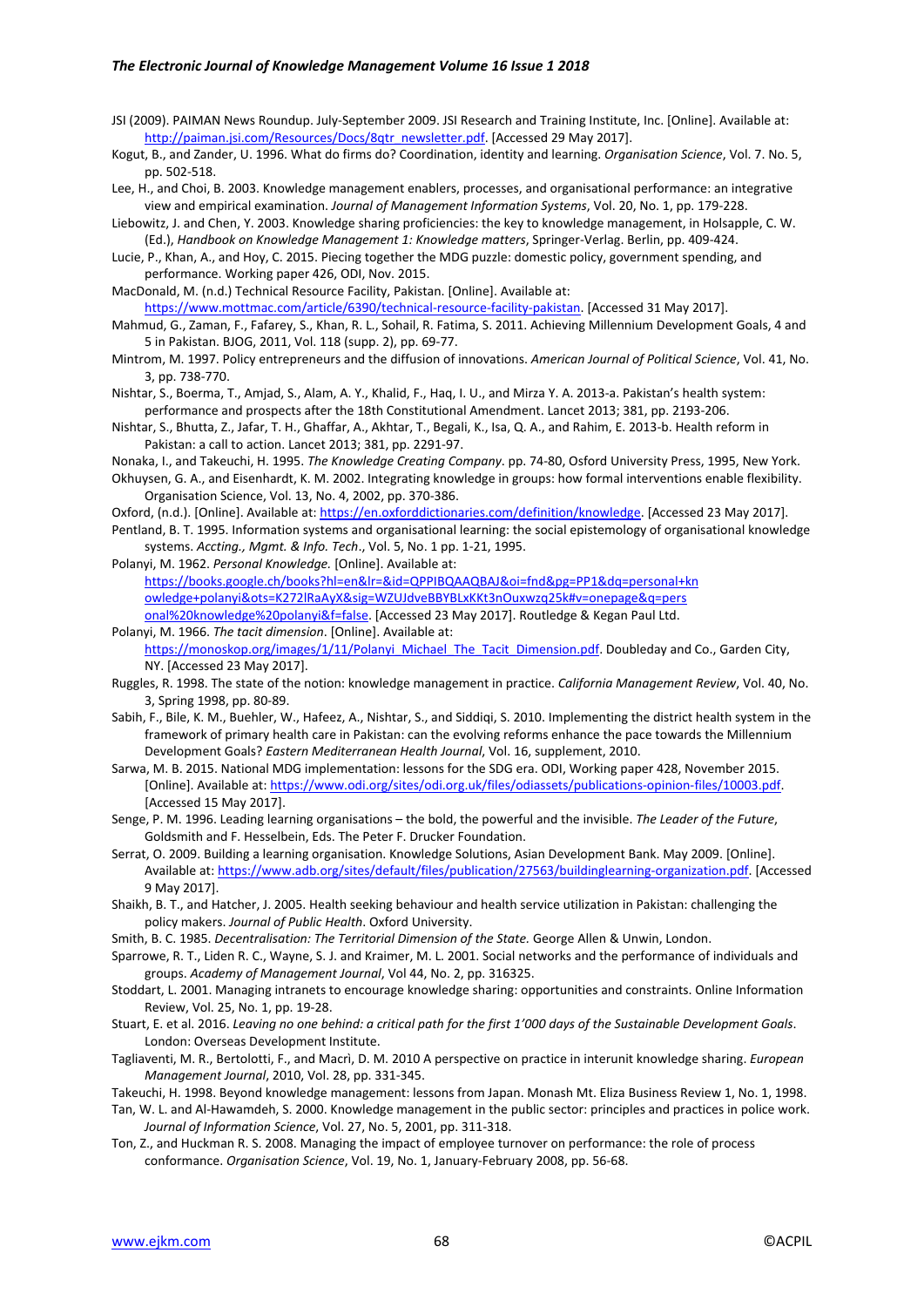#### *The Electronic Journal of Knowledge Management Volume 16 Issue 1 2018*

- JSI (2009). PAIMAN News Roundup. July-September 2009. JSI Research and Training Institute, Inc. [Online]. Available at: http://paiman.jsi.com/Resources/Docs/8qtr\_newsletter.pdf. [Accessed 29 May 2017].
- Kogut, B., and Zander, U. 1996. What do firms do? Coordination, identity and learning. *Organisation Science*, Vol. 7. No. 5, pp. 502-518.
- Lee, H., and Choi, B. 2003. Knowledge management enablers, processes, and organisational performance: an integrative view and empirical examination. *Journal of Management Information Systems*, Vol. 20, No. 1, pp. 179-228.
- Liebowitz, J. and Chen, Y. 2003. Knowledge sharing proficiencies: the key to knowledge management, in Holsapple, C. W. (Ed.), *Handbook on Knowledge Management 1: Knowledge matters*, Springer-Verlag. Berlin, pp. 409-424.
- Lucie, P., Khan, A., and Hoy, C. 2015. Piecing together the MDG puzzle: domestic policy, government spending, and performance. Working paper 426, ODI, Nov. 2015.
- MacDonald, M. (n.d.) Technical Resource Facility, Pakistan. [Online]. Available at:

https://www.mottmac.com/article/6390/technical-resource-facility-pakistan. [Accessed 31 May 2017].

- Mahmud, G., Zaman, F., Fafarey, S., Khan, R. L., Sohail, R. Fatima, S. 2011. Achieving Millennium Development Goals, 4 and 5 in Pakistan. BJOG, 2011, Vol. 118 (supp. 2), pp. 69-77.
- Mintrom, M. 1997. Policy entrepreneurs and the diffusion of innovations. *American Journal of Political Science*, Vol. 41, No. 3, pp. 738-770.
- Nishtar, S., Boerma, T., Amjad, S., Alam, A. Y., Khalid, F., Haq, I. U., and Mirza Y. A. 2013-a. Pakistan's health system: performance and prospects after the 18th Constitutional Amendment. Lancet 2013; 381, pp. 2193-206.
- Nishtar, S., Bhutta, Z., Jafar, T. H., Ghaffar, A., Akhtar, T., Begali, K., Isa, Q. A., and Rahim, E. 2013-b. Health reform in Pakistan: a call to action. Lancet 2013; 381, pp. 2291-97.
- Nonaka, I., and Takeuchi, H. 1995. *The Knowledge Creating Company*. pp. 74-80, Osford University Press, 1995, New York. Okhuysen, G. A., and Eisenhardt, K. M. 2002. Integrating knowledge in groups: how formal interventions enable flexibility. Organisation Science, Vol. 13, No. 4, 2002, pp. 370-386.
- Oxford, (n.d.). [Online]. Available at: https://en.oxforddictionaries.com/definition/knowledge. [Accessed 23 May 2017].
- Pentland, B. T. 1995. Information systems and organisational learning: the social epistemology of organisational knowledge systems. *Accting., Mgmt. & Info. Tech*., Vol. 5, No. 1 pp. 1-21, 1995.
- Polanyi, M. 1962. *Personal Knowledge.* [Online]. Available at: https://books.google.ch/books?hl=en&lr=&id=QPPIBQAAQBAJ&oi=fnd&pg=PP1&dq=personal+kn owledge+polanyi&ots=K272lRaAyX&sig=WZUJdveBBYBLxKKt3nOuxwzq25k#v=onepage&q=pers onal%20knowledge%20polanyi&f=false. [Accessed 23 May 2017]. Routledge & Kegan Paul Ltd.
- Polanyi, M. 1966. *The tacit dimension*. [Online]. Available at: https://monoskop.org/images/1/11/Polanyi\_Michael\_The\_Tacit\_Dimension.pdf. Doubleday and Co., Garden City, NY. [Accessed 23 May 2017].
- Ruggles, R. 1998. The state of the notion: knowledge management in practice. *California Management Review*, Vol. 40, No. 3, Spring 1998, pp. 80-89.
- Sabih, F., Bile, K. M., Buehler, W., Hafeez, A., Nishtar, S., and Siddiqi, S. 2010. Implementing the district health system in the framework of primary health care in Pakistan: can the evolving reforms enhance the pace towards the Millennium Development Goals? *Eastern Mediterranean Health Journal*, Vol. 16, supplement, 2010.
- Sarwa, M. B. 2015. National MDG implementation: lessons for the SDG era. ODI, Working paper 428, November 2015. [Online]. Available at: https://www.odi.org/sites/odi.org.uk/files/odiassets/publications-opinion-files/10003.pdf. [Accessed 15 May 2017].
- Senge, P. M. 1996. Leading learning organisations the bold, the powerful and the invisible. *The Leader of the Future*, Goldsmith and F. Hesselbein, Eds. The Peter F. Drucker Foundation.
- Serrat, O. 2009. Building a learning organisation. Knowledge Solutions, Asian Development Bank. May 2009. [Online]. Available at: https://www.adb.org/sites/default/files/publication/27563/buildinglearning-organization.pdf. [Accessed 9 May 2017].
- Shaikh, B. T., and Hatcher, J. 2005. Health seeking behaviour and health service utilization in Pakistan: challenging the policy makers. *Journal of Public Health*. Oxford University.
- Smith, B. C. 1985. *Decentralisation: The Territorial Dimension of the State.* George Allen & Unwin, London.
- Sparrowe, R. T., Liden R. C., Wayne, S. J. and Kraimer, M. L. 2001. Social networks and the performance of individuals and groups. *Academy of Management Journal*, Vol 44, No. 2, pp. 316325.
- Stoddart, L. 2001. Managing intranets to encourage knowledge sharing: opportunities and constraints. Online Information Review, Vol. 25, No. 1, pp. 19-28.
- Stuart, E. et al. 2016. *Leaving no one behind: a critical path for the first 1'000 days of the Sustainable Development Goals*. London: Overseas Development Institute.
- Tagliaventi, M. R., Bertolotti, F., and Macrì, D. M. 2010 A perspective on practice in interunit knowledge sharing. *European Management Journal*, 2010, Vol. 28, pp. 331-345.
- Takeuchi, H. 1998. Beyond knowledge management: lessons from Japan. Monash Mt. Eliza Business Review 1, No. 1, 1998.

Tan, W. L. and Al-Hawamdeh, S. 2000. Knowledge management in the public sector: principles and practices in police work. *Journal of Information Science*, Vol. 27, No. 5, 2001, pp. 311-318.

Ton, Z., and Huckman R. S. 2008. Managing the impact of employee turnover on performance: the role of process conformance. *Organisation Science*, Vol. 19, No. 1, January-February 2008, pp. 56-68.